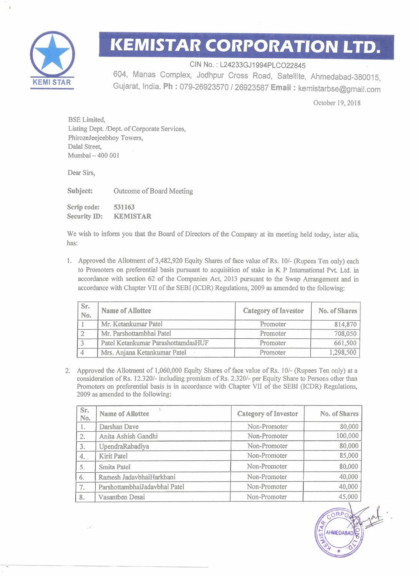

## **IKEMISTAR CORPORATION LTD.**

CIN No.: L24233GJ1994PLCO22845

604, Manas Complex, Jodhpur Cross Road, Satellite, Ahmedabad-380015, Gujarat, India. **Ph** : 079-26923570 I26923587 **Email** : kemistarbse@gmail.com

October 19, 2018

BSE Limited, Listing Dept. Dept. of Corporate Services, PhirozeJeejeebhoy Towers, Dalal Street, Mumbai - 400 001

Dear Sirs,

**Subject:** Outcome of Board Meeting Scrip code: 531163 Security ID: KEMISTAR

We wish to inform you that the Board of Directors of the Company at its meeting held today, inter alia, has:

1. Approved the Allotment of 3,482,920 Equity Shares of face value of Rs. 10/- (Rupees Ten only) each to Promoters on preferential basis pursuant to acquisition of stake in K P International Pvt. Ltd. in accordance with section 62 of the Companies Act, 2013 pursuant to the Swap Arrangement and in accordance with Chapter VII of the SEBI (ICDR) Regulations, 2009 as amended to the following:

| Sr.<br>No. | <b>Name of Allottee</b>            | <b>Category of Investor</b> | No. of Shares |
|------------|------------------------------------|-----------------------------|---------------|
|            | Mr. Ketankumar Patel               | Promoter                    | 814,870       |
|            | Mr. Parshottambhai Patel           | Promoter                    | 708,050       |
|            | Patel Ketankumar ParashottamdasHUF | Promoter                    | 661,500       |
|            | Mrs. Anjana Ketankumar Patel       | <b>Promoter</b>             | 1,298,500     |

2: Approved the Allotment of 1,060,000 Equity Shares of face value of **Rs.** 101- (Rupees Ten only) at a consideration of Rs. 12.320/- including premium of Rs. 2.320/- per Equity Share to Persons other than Promoters on preferential basis is in accordance with Chapter VII of the SEBI (ICDR) Regulations, 2009 as amended to the following:

| Sr.<br>No.       | <b>Name of Allottee</b>       | <b>Category of Investor</b> | <b>No. of Shares</b> |
|------------------|-------------------------------|-----------------------------|----------------------|
| 1.               | Darshan Dave                  | Non-Promoter                | 80,000               |
| $\overline{2}$ . | Anita Ashish Gandhi           | Non-Promoter                | 100,000              |
| 3.               | UpendraRabadiya               | Non-Promoter                | 80,000               |
| 4.               | <b>Kirit Patel</b>            | Non-Promoter                | 85,000               |
| 5.               | <b>Smita Patel</b>            | Non-Promoter                | 80,000               |
| 6.               | Ramesh JadavbhaiHarkhani      | Non-Promoter                | 40,000               |
| 7.               | ParshottambhaiJadavbhai Patel | Non-Promoter                | 40,000               |
| 8.               | Vasantben Desai               | Non-Promoter                | 45,000               |